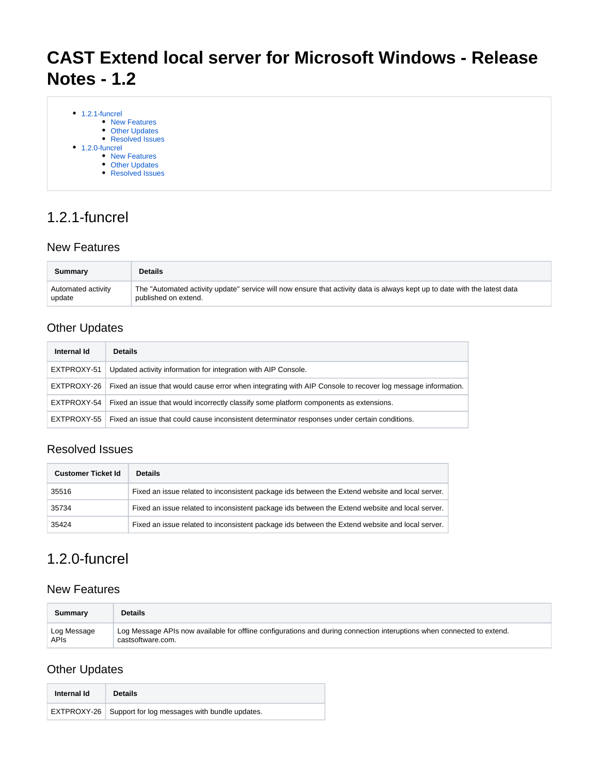# **CAST Extend local server for Microsoft Windows - Release Notes - 1.2**

| $\bullet$ 1.2.1-funcrel |                      |
|-------------------------|----------------------|
|                         | <b>New Features</b>  |
|                         | • Other Updates      |
|                         | • Resolved Issues    |
| $\bullet$ 1.2.0-funcrel |                      |
|                         | • New Features       |
|                         | <b>Other Updates</b> |
|                         | • Resolved Issues    |

## <span id="page-0-0"></span>1.2.1-funcrel

#### <span id="page-0-1"></span>New Features

| Summary            | <b>Details</b>                                                                                                            |
|--------------------|---------------------------------------------------------------------------------------------------------------------------|
| Automated activity | The "Automated activity update" service will now ensure that activity data is always kept up to date with the latest data |
| update             | published on extend.                                                                                                      |

#### <span id="page-0-2"></span>Other Updates

| Internal Id | <b>Details</b>                                                                                                          |
|-------------|-------------------------------------------------------------------------------------------------------------------------|
| EXTPROXY-51 | Updated activity information for integration with AIP Console.                                                          |
|             | EXTPROXY-26 Fixed an issue that would cause error when integrating with AIP Console to recover log message information. |
| EXTPROXY-54 | Fixed an issue that would incorrectly classify some platform components as extensions.                                  |
|             | EXTPROXY-55   Fixed an issue that could cause inconsistent determinator responses under certain conditions.             |

#### <span id="page-0-3"></span>Resolved Issues

| <b>Customer Ticket Id</b> | <b>Details</b>                                                                                  |
|---------------------------|-------------------------------------------------------------------------------------------------|
| 35516                     | Fixed an issue related to inconsistent package ids between the Extend website and local server. |
| 35734                     | Fixed an issue related to inconsistent package ids between the Extend website and local server. |
| 35424                     | Fixed an issue related to inconsistent package ids between the Extend website and local server. |

### <span id="page-0-4"></span>1.2.0-funcrel

#### <span id="page-0-5"></span>New Features

| Summary     | <b>Details</b>                                                                                                         |
|-------------|------------------------------------------------------------------------------------------------------------------------|
| Log Message | Log Message APIs now available for offline configurations and during connection interuptions when connected to extend. |
| <b>APIs</b> | castsoftware.com.                                                                                                      |

### <span id="page-0-6"></span>Other Updates

| Internal Id | <b>Details</b>                                              |
|-------------|-------------------------------------------------------------|
|             | EXTPROXY-26   Support for log messages with bundle updates. |